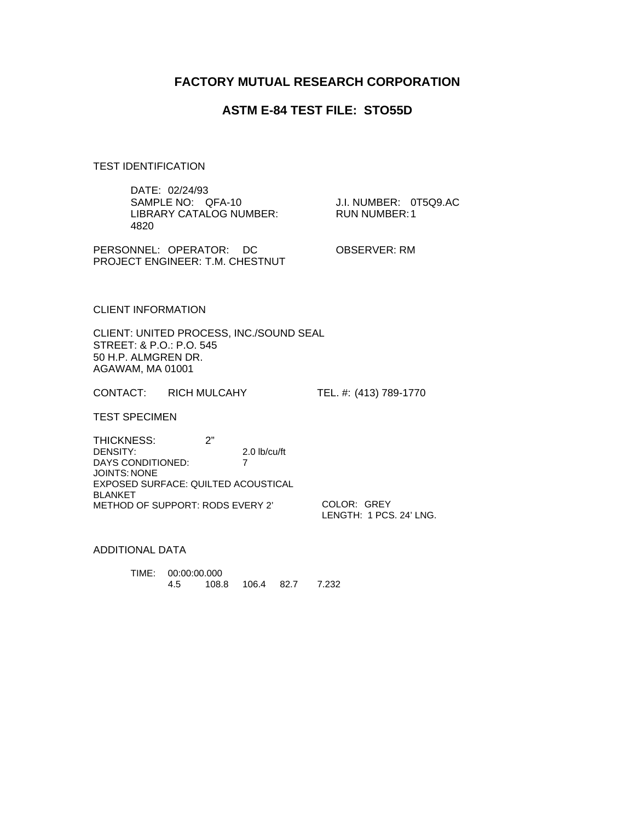# **FACTORY MUTUAL RESEARCH CORPORATION**

## **ASTM E-84 TEST FILE: STO55D**

TEST IDENTIFICATION

| DATE: 02/24/93<br>SAMPLE NO: QFA-10<br>LIBRARY CATALOG NUMBER:<br>4820                                                                                   | J.I. NUMBER: 0T5Q9.AC<br><b>RUN NUMBER:1</b> |
|----------------------------------------------------------------------------------------------------------------------------------------------------------|----------------------------------------------|
| PERSONNEL: OPERATOR: DC<br><b>PROJECT ENGINEER: T.M. CHESTNUT</b>                                                                                        | OBSERVER: RM                                 |
| <b>CLIENT INFORMATION</b>                                                                                                                                |                                              |
| CLIENT: UNITED PROCESS, INC./SOUND SEAL<br>STREET: & P.O.: P.O. 545<br>50 H.P. ALMGREN DR.<br>AGAWAM, MA 01001                                           |                                              |
| CONTACT: RICH MULCAHY                                                                                                                                    | TEL. #: (413) 789-1770                       |
| <b>TEST SPECIMEN</b>                                                                                                                                     |                                              |
| 2"<br><b>THICKNESS:</b><br>DENSITY:<br>$2.0$ lb/cu/ft<br>7<br>DAYS CONDITIONED:<br>JOINTS: NONE<br>EXPOSED SURFACE: QUILTED ACOUSTICAL<br><b>BLANKET</b> |                                              |
| METHOD OF SUPPORT: RODS EVERY 2'                                                                                                                         | COLOR: GREY<br>LENGTH: 1 PCS, 24' LNG.       |

ADDITIONAL DATA

TIME: 00:00:00.000 4.5 108.8 106.4 82.7 7.232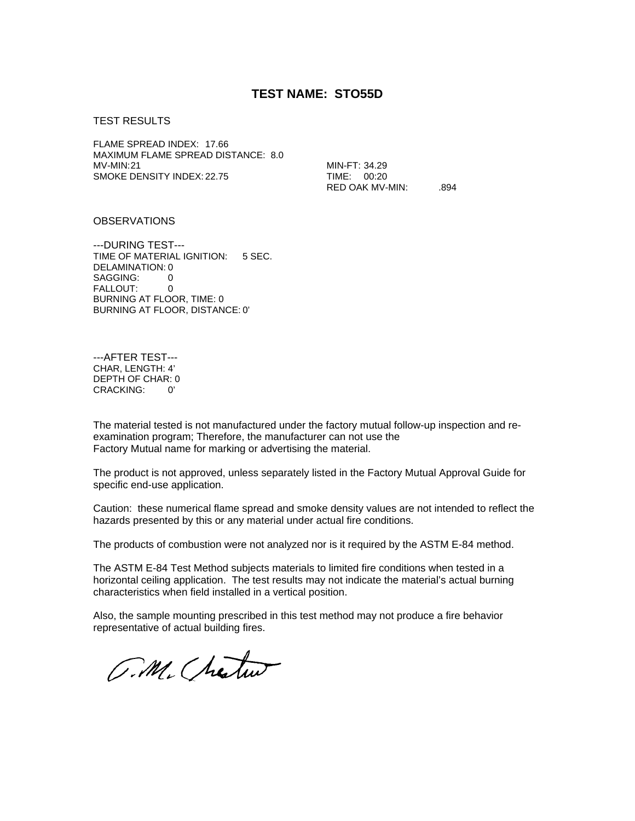### **TEST NAME: STO55D**

#### TEST RESULTS

FLAME SPREAD INDEX: 17.66 MAXIMUM FLAME SPREAD DISTANCE: 8.0 MV-MIN:21 SMOKE DENSITY INDEX: 22.75

MIN-FT: 34.29 TIME: 00:20 RED OAK MV-MIN: . .894

### **OBSERVATIONS**

---DURING TEST--- TIME OF MATERIAL IGNITION: 5 SEC. DELAMINATION: 0 SAGGING: 0 FALLOUT: 0 BURNING AT FLOOR, TIME: 0 BURNING AT FLOOR, DISTANCE: 0'

---AFTER TEST--- CHAR, LENGTH: 4' DEPTH OF CHAR: 0 CRACKING: 0'

The material tested is not manufactured under the factory mutual follow-up inspection and reexamination program; Therefore, the manufacturer can not use the Factory Mutual name for marking or advertising the material.

The product is not approved, unless separately listed in the Factory Mutual Approval Guide for specific end-use application.

Caution: these numerical flame spread and smoke density values are not intended to reflect the hazards presented by this or any material under actual fire conditions.

The products of combustion were not analyzed nor is it required by the ASTM E-84 method.

The ASTM E-84 Test Method subjects materials to limited fire conditions when tested in a horizontal ceiling application. The test results may not indicate the material's actual burning characteristics when field installed in a vertical position.

Also, the sample mounting prescribed in this test method may not produce a fire behavior representative of actual building fires.

O.M. Chestus